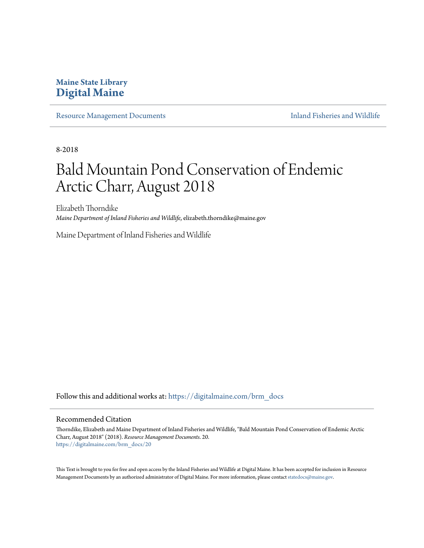# **Maine State Library [Digital Maine](https://digitalmaine.com?utm_source=digitalmaine.com%2Fbrm_docs%2F20&utm_medium=PDF&utm_campaign=PDFCoverPages)**

[Resource Management Documents](https://digitalmaine.com/brm_docs?utm_source=digitalmaine.com%2Fbrm_docs%2F20&utm_medium=PDF&utm_campaign=PDFCoverPages) **[Inland Fisheries and Wildlife](https://digitalmaine.com/ifw?utm_source=digitalmaine.com%2Fbrm_docs%2F20&utm_medium=PDF&utm_campaign=PDFCoverPages)** 

8-2018

# Bald Mountain Pond Conservation of Endemic Arctic Charr, August 2018

Elizabeth Thorndike *Maine Department of Inland Fisheries and Wildlife*, elizabeth.thorndike@maine.gov

Maine Department of Inland Fisheries and Wildlife

Follow this and additional works at: [https://digitalmaine.com/brm\\_docs](https://digitalmaine.com/brm_docs?utm_source=digitalmaine.com%2Fbrm_docs%2F20&utm_medium=PDF&utm_campaign=PDFCoverPages)

#### Recommended Citation

Thorndike, Elizabeth and Maine Department of Inland Fisheries and Wildlife, "Bald Mountain Pond Conservation of Endemic Arctic Charr, August 2018" (2018). *Resource Management Documents*. 20. [https://digitalmaine.com/brm\\_docs/20](https://digitalmaine.com/brm_docs/20?utm_source=digitalmaine.com%2Fbrm_docs%2F20&utm_medium=PDF&utm_campaign=PDFCoverPages)

This Text is brought to you for free and open access by the Inland Fisheries and Wildlife at Digital Maine. It has been accepted for inclusion in Resource Management Documents by an authorized administrator of Digital Maine. For more information, please contact [statedocs@maine.gov.](mailto:statedocs@maine.gov)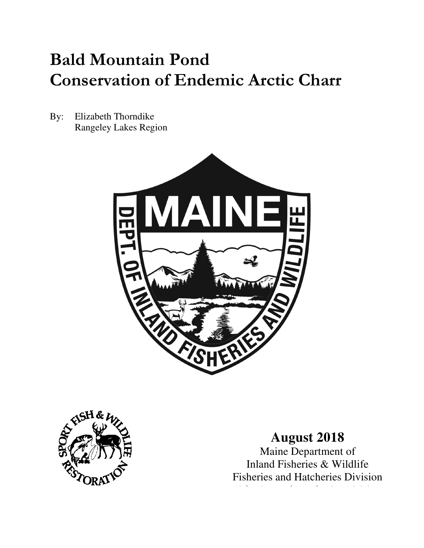# **Bald Mountain Pond Conservation of Endemic Arctic Charr**

By: Elizabeth Thorndike Rangeley Lakes Region





# **August 2018**

Maine Department of Inland Fisheries & Wildlife Fisheries and Hatcheries Division

Fisheries and Hatcheries Division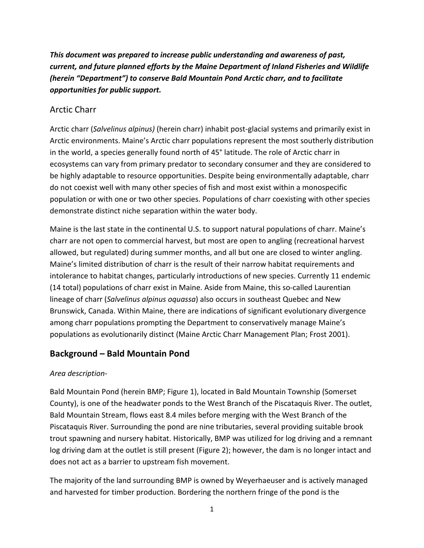*This document was prepared to increase public understanding and awareness of past, current, and future planned efforts by the Maine Department of Inland Fisheries and Wildlife (herein "Department") to conserve Bald Mountain Pond Arctic charr, and to facilitate opportunities for public support.* 

# Arctic Charr

Arctic charr (*Salvelinus alpinus)* (herein charr) inhabit post-glacial systems and primarily exist in Arctic environments. Maine's Arctic charr populations represent the most southerly distribution in the world, a species generally found north of 45° latitude. The role of Arctic charr in ecosystems can vary from primary predator to secondary consumer and they are considered to be highly adaptable to resource opportunities. Despite being environmentally adaptable, charr do not coexist well with many other species of fish and most exist within a monospecific population or with one or two other species. Populations of charr coexisting with other species demonstrate distinct niche separation within the water body.

Maine is the last state in the continental U.S. to support natural populations of charr. Maine's charr are not open to commercial harvest, but most are open to angling (recreational harvest allowed, but regulated) during summer months, and all but one are closed to winter angling. Maine's limited distribution of charr is the result of their narrow habitat requirements and intolerance to habitat changes, particularly introductions of new species. Currently 11 endemic (14 total) populations of charr exist in Maine. Aside from Maine, this so-called Laurentian lineage of charr (*Salvelinus alpinus oquassa*) also occurs in southeast Quebec and New Brunswick, Canada. Within Maine, there are indications of significant evolutionary divergence among charr populations prompting the Department to conservatively manage Maine's populations as evolutionarily distinct (Maine Arctic Charr Management Plan; Frost 2001).

# **Background – Bald Mountain Pond**

# *Area description-*

Bald Mountain Pond (herein BMP; Figure 1), located in Bald Mountain Township (Somerset County), is one of the headwater ponds to the West Branch of the Piscataquis River. The outlet, Bald Mountain Stream, flows east 8.4 miles before merging with the West Branch of the Piscataquis River. Surrounding the pond are nine tributaries, several providing suitable brook trout spawning and nursery habitat. Historically, BMP was utilized for log driving and a remnant log driving dam at the outlet is still present (Figure 2); however, the dam is no longer intact and does not act as a barrier to upstream fish movement.

The majority of the land surrounding BMP is owned by Weyerhaeuser and is actively managed and harvested for timber production. Bordering the northern fringe of the pond is the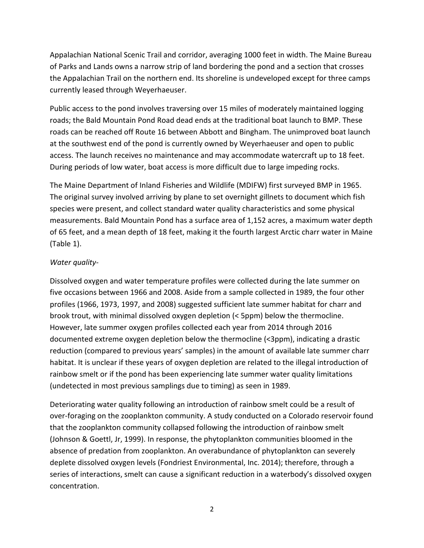Appalachian National Scenic Trail and corridor, averaging 1000 feet in width. The Maine Bureau of Parks and Lands owns a narrow strip of land bordering the pond and a section that crosses the Appalachian Trail on the northern end. Its shoreline is undeveloped except for three camps currently leased through Weyerhaeuser.

Public access to the pond involves traversing over 15 miles of moderately maintained logging roads; the Bald Mountain Pond Road dead ends at the traditional boat launch to BMP. These roads can be reached off Route 16 between Abbott and Bingham. The unimproved boat launch at the southwest end of the pond is currently owned by Weyerhaeuser and open to public access. The launch receives no maintenance and may accommodate watercraft up to 18 feet. During periods of low water, boat access is more difficult due to large impeding rocks.

The Maine Department of Inland Fisheries and Wildlife (MDIFW) first surveyed BMP in 1965. The original survey involved arriving by plane to set overnight gillnets to document which fish species were present, and collect standard water quality characteristics and some physical measurements. Bald Mountain Pond has a surface area of 1,152 acres, a maximum water depth of 65 feet, and a mean depth of 18 feet, making it the fourth largest Arctic charr water in Maine (Table 1).

#### *Water quality-*

Dissolved oxygen and water temperature profiles were collected during the late summer on five occasions between 1966 and 2008. Aside from a sample collected in 1989, the four other profiles (1966, 1973, 1997, and 2008) suggested sufficient late summer habitat for charr and brook trout, with minimal dissolved oxygen depletion (< 5ppm) below the thermocline. However, late summer oxygen profiles collected each year from 2014 through 2016 documented extreme oxygen depletion below the thermocline (<3ppm), indicating a drastic reduction (compared to previous years' samples) in the amount of available late summer charr habitat. It is unclear if these years of oxygen depletion are related to the illegal introduction of rainbow smelt or if the pond has been experiencing late summer water quality limitations (undetected in most previous samplings due to timing) as seen in 1989.

Deteriorating water quality following an introduction of rainbow smelt could be a result of over-foraging on the zooplankton community. A study conducted on a Colorado reservoir found that the zooplankton community collapsed following the introduction of rainbow smelt (Johnson & Goettl, Jr, 1999). In response, the phytoplankton communities bloomed in the absence of predation from zooplankton. An overabundance of phytoplankton can severely deplete dissolved oxygen levels (Fondriest Environmental, Inc. 2014); therefore, through a series of interactions, smelt can cause a significant reduction in a waterbody's dissolved oxygen concentration.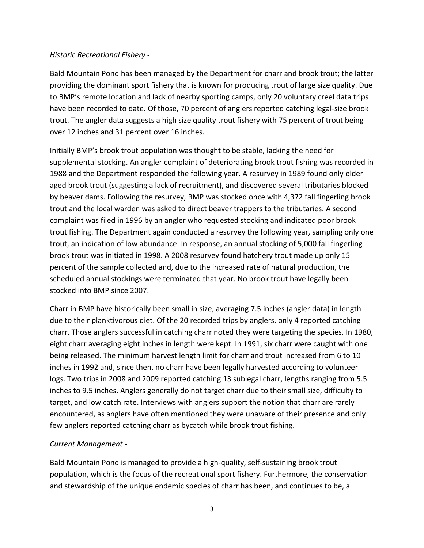#### *Historic Recreational Fishery -*

Bald Mountain Pond has been managed by the Department for charr and brook trout; the latter providing the dominant sport fishery that is known for producing trout of large size quality. Due to BMP's remote location and lack of nearby sporting camps, only 20 voluntary creel data trips have been recorded to date. Of those, 70 percent of anglers reported catching legal-size brook trout. The angler data suggests a high size quality trout fishery with 75 percent of trout being over 12 inches and 31 percent over 16 inches.

Initially BMP's brook trout population was thought to be stable, lacking the need for supplemental stocking. An angler complaint of deteriorating brook trout fishing was recorded in 1988 and the Department responded the following year. A resurvey in 1989 found only older aged brook trout (suggesting a lack of recruitment), and discovered several tributaries blocked by beaver dams. Following the resurvey, BMP was stocked once with 4,372 fall fingerling brook trout and the local warden was asked to direct beaver trappers to the tributaries. A second complaint was filed in 1996 by an angler who requested stocking and indicated poor brook trout fishing. The Department again conducted a resurvey the following year, sampling only one trout, an indication of low abundance. In response, an annual stocking of 5,000 fall fingerling brook trout was initiated in 1998. A 2008 resurvey found hatchery trout made up only 15 percent of the sample collected and, due to the increased rate of natural production, the scheduled annual stockings were terminated that year. No brook trout have legally been stocked into BMP since 2007.

Charr in BMP have historically been small in size, averaging 7.5 inches (angler data) in length due to their planktivorous diet. Of the 20 recorded trips by anglers, only 4 reported catching charr. Those anglers successful in catching charr noted they were targeting the species. In 1980, eight charr averaging eight inches in length were kept. In 1991, six charr were caught with one being released. The minimum harvest length limit for charr and trout increased from 6 to 10 inches in 1992 and, since then, no charr have been legally harvested according to volunteer logs. Two trips in 2008 and 2009 reported catching 13 sublegal charr, lengths ranging from 5.5 inches to 9.5 inches. Anglers generally do not target charr due to their small size, difficulty to target, and low catch rate. Interviews with anglers support the notion that charr are rarely encountered, as anglers have often mentioned they were unaware of their presence and only few anglers reported catching charr as bycatch while brook trout fishing.

## *Current Management -*

Bald Mountain Pond is managed to provide a high-quality, self-sustaining brook trout population, which is the focus of the recreational sport fishery. Furthermore, the conservation and stewardship of the unique endemic species of charr has been, and continues to be, a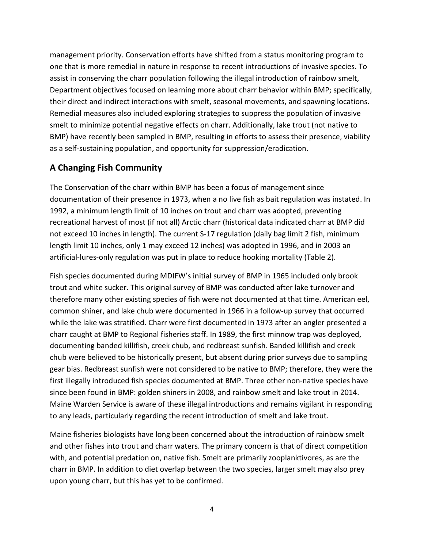management priority. Conservation efforts have shifted from a status monitoring program to one that is more remedial in nature in response to recent introductions of invasive species. To assist in conserving the charr population following the illegal introduction of rainbow smelt, Department objectives focused on learning more about charr behavior within BMP; specifically, their direct and indirect interactions with smelt, seasonal movements, and spawning locations. Remedial measures also included exploring strategies to suppress the population of invasive smelt to minimize potential negative effects on charr. Additionally, lake trout (not native to BMP) have recently been sampled in BMP, resulting in efforts to assess their presence, viability as a self-sustaining population, and opportunity for suppression/eradication.

# **A Changing Fish Community**

The Conservation of the charr within BMP has been a focus of management since documentation of their presence in 1973, when a no live fish as bait regulation was instated. In 1992, a minimum length limit of 10 inches on trout and charr was adopted, preventing recreational harvest of most (if not all) Arctic charr (historical data indicated charr at BMP did not exceed 10 inches in length). The current S-17 regulation (daily bag limit 2 fish, minimum length limit 10 inches, only 1 may exceed 12 inches) was adopted in 1996, and in 2003 an artificial-lures-only regulation was put in place to reduce hooking mortality (Table 2).

Fish species documented during MDIFW's initial survey of BMP in 1965 included only brook trout and white sucker. This original survey of BMP was conducted after lake turnover and therefore many other existing species of fish were not documented at that time. American eel, common shiner, and lake chub were documented in 1966 in a follow-up survey that occurred while the lake was stratified. Charr were first documented in 1973 after an angler presented a charr caught at BMP to Regional fisheries staff. In 1989, the first minnow trap was deployed, documenting banded killifish, creek chub, and redbreast sunfish. Banded killifish and creek chub were believed to be historically present, but absent during prior surveys due to sampling gear bias. Redbreast sunfish were not considered to be native to BMP; therefore, they were the first illegally introduced fish species documented at BMP. Three other non-native species have since been found in BMP: golden shiners in 2008, and rainbow smelt and lake trout in 2014. Maine Warden Service is aware of these illegal introductions and remains vigilant in responding to any leads, particularly regarding the recent introduction of smelt and lake trout.

Maine fisheries biologists have long been concerned about the introduction of rainbow smelt and other fishes into trout and charr waters. The primary concern is that of direct competition with, and potential predation on, native fish. Smelt are primarily zooplanktivores, as are the charr in BMP. In addition to diet overlap between the two species, larger smelt may also prey upon young charr, but this has yet to be confirmed.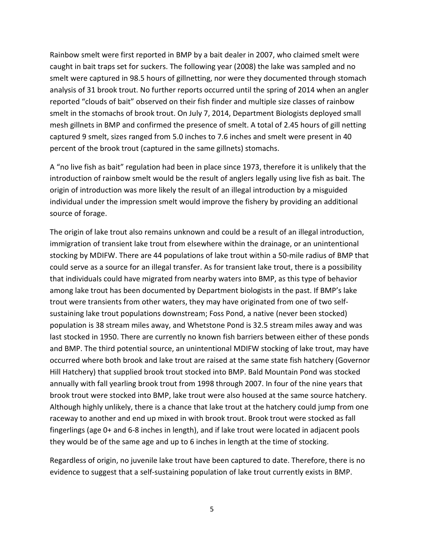Rainbow smelt were first reported in BMP by a bait dealer in 2007, who claimed smelt were caught in bait traps set for suckers. The following year (2008) the lake was sampled and no smelt were captured in 98.5 hours of gillnetting, nor were they documented through stomach analysis of 31 brook trout. No further reports occurred until the spring of 2014 when an angler reported "clouds of bait" observed on their fish finder and multiple size classes of rainbow smelt in the stomachs of brook trout. On July 7, 2014, Department Biologists deployed small mesh gillnets in BMP and confirmed the presence of smelt. A total of 2.45 hours of gill netting captured 9 smelt, sizes ranged from 5.0 inches to 7.6 inches and smelt were present in 40 percent of the brook trout (captured in the same gillnets) stomachs.

A "no live fish as bait" regulation had been in place since 1973, therefore it is unlikely that the introduction of rainbow smelt would be the result of anglers legally using live fish as bait. The origin of introduction was more likely the result of an illegal introduction by a misguided individual under the impression smelt would improve the fishery by providing an additional source of forage.

The origin of lake trout also remains unknown and could be a result of an illegal introduction, immigration of transient lake trout from elsewhere within the drainage, or an unintentional stocking by MDIFW. There are 44 populations of lake trout within a 50-mile radius of BMP that could serve as a source for an illegal transfer. As for transient lake trout, there is a possibility that individuals could have migrated from nearby waters into BMP, as this type of behavior among lake trout has been documented by Department biologists in the past. If BMP's lake trout were transients from other waters, they may have originated from one of two selfsustaining lake trout populations downstream; Foss Pond, a native (never been stocked) population is 38 stream miles away, and Whetstone Pond is 32.5 stream miles away and was last stocked in 1950. There are currently no known fish barriers between either of these ponds and BMP. The third potential source, an unintentional MDIFW stocking of lake trout, may have occurred where both brook and lake trout are raised at the same state fish hatchery (Governor Hill Hatchery) that supplied brook trout stocked into BMP. Bald Mountain Pond was stocked annually with fall yearling brook trout from 1998 through 2007. In four of the nine years that brook trout were stocked into BMP, lake trout were also housed at the same source hatchery. Although highly unlikely, there is a chance that lake trout at the hatchery could jump from one raceway to another and end up mixed in with brook trout. Brook trout were stocked as fall fingerlings (age 0+ and 6-8 inches in length), and if lake trout were located in adjacent pools they would be of the same age and up to 6 inches in length at the time of stocking.

Regardless of origin, no juvenile lake trout have been captured to date. Therefore, there is no evidence to suggest that a self-sustaining population of lake trout currently exists in BMP.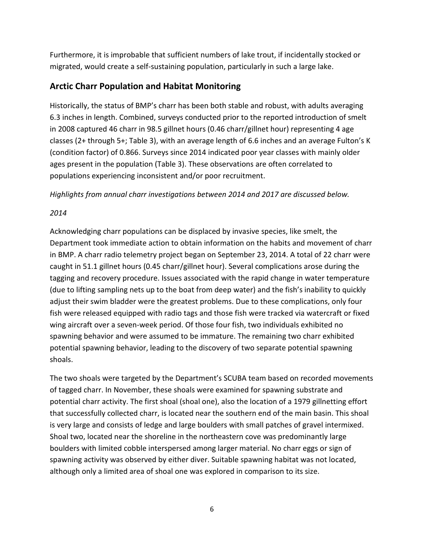Furthermore, it is improbable that sufficient numbers of lake trout, if incidentally stocked or migrated, would create a self-sustaining population, particularly in such a large lake.

# **Arctic Charr Population and Habitat Monitoring**

Historically, the status of BMP's charr has been both stable and robust, with adults averaging 6.3 inches in length. Combined, surveys conducted prior to the reported introduction of smelt in 2008 captured 46 charr in 98.5 gillnet hours (0.46 charr/gillnet hour) representing 4 age classes (2+ through 5+; Table 3), with an average length of 6.6 inches and an average Fulton's K (condition factor) of 0.866. Surveys since 2014 indicated poor year classes with mainly older ages present in the population (Table 3). These observations are often correlated to populations experiencing inconsistent and/or poor recruitment.

*Highlights from annual charr investigations between 2014 and 2017 are discussed below.* 

# *2014*

Acknowledging charr populations can be displaced by invasive species, like smelt, the Department took immediate action to obtain information on the habits and movement of charr in BMP. A charr radio telemetry project began on September 23, 2014. A total of 22 charr were caught in 51.1 gillnet hours (0.45 charr/gillnet hour). Several complications arose during the tagging and recovery procedure. Issues associated with the rapid change in water temperature (due to lifting sampling nets up to the boat from deep water) and the fish's inability to quickly adjust their swim bladder were the greatest problems. Due to these complications, only four fish were released equipped with radio tags and those fish were tracked via watercraft or fixed wing aircraft over a seven-week period. Of those four fish, two individuals exhibited no spawning behavior and were assumed to be immature. The remaining two charr exhibited potential spawning behavior, leading to the discovery of two separate potential spawning shoals.

The two shoals were targeted by the Department's SCUBA team based on recorded movements of tagged charr. In November, these shoals were examined for spawning substrate and potential charr activity. The first shoal (shoal one), also the location of a 1979 gillnetting effort that successfully collected charr, is located near the southern end of the main basin. This shoal is very large and consists of ledge and large boulders with small patches of gravel intermixed. Shoal two, located near the shoreline in the northeastern cove was predominantly large boulders with limited cobble interspersed among larger material. No charr eggs or sign of spawning activity was observed by either diver. Suitable spawning habitat was not located, although only a limited area of shoal one was explored in comparison to its size.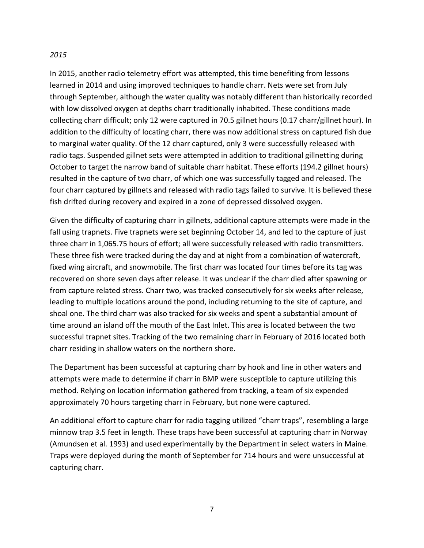#### *2015*

In 2015, another radio telemetry effort was attempted, this time benefiting from lessons learned in 2014 and using improved techniques to handle charr. Nets were set from July through September, although the water quality was notably different than historically recorded with low dissolved oxygen at depths charr traditionally inhabited. These conditions made collecting charr difficult; only 12 were captured in 70.5 gillnet hours (0.17 charr/gillnet hour). In addition to the difficulty of locating charr, there was now additional stress on captured fish due to marginal water quality. Of the 12 charr captured, only 3 were successfully released with radio tags. Suspended gillnet sets were attempted in addition to traditional gillnetting during October to target the narrow band of suitable charr habitat. These efforts (194.2 gillnet hours) resulted in the capture of two charr, of which one was successfully tagged and released. The four charr captured by gillnets and released with radio tags failed to survive. It is believed these fish drifted during recovery and expired in a zone of depressed dissolved oxygen.

Given the difficulty of capturing charr in gillnets, additional capture attempts were made in the fall using trapnets. Five trapnets were set beginning October 14, and led to the capture of just three charr in 1,065.75 hours of effort; all were successfully released with radio transmitters. These three fish were tracked during the day and at night from a combination of watercraft, fixed wing aircraft, and snowmobile. The first charr was located four times before its tag was recovered on shore seven days after release. It was unclear if the charr died after spawning or from capture related stress. Charr two, was tracked consecutively for six weeks after release, leading to multiple locations around the pond, including returning to the site of capture, and shoal one. The third charr was also tracked for six weeks and spent a substantial amount of time around an island off the mouth of the East Inlet. This area is located between the two successful trapnet sites. Tracking of the two remaining charr in February of 2016 located both charr residing in shallow waters on the northern shore.

The Department has been successful at capturing charr by hook and line in other waters and attempts were made to determine if charr in BMP were susceptible to capture utilizing this method. Relying on location information gathered from tracking, a team of six expended approximately 70 hours targeting charr in February, but none were captured.

An additional effort to capture charr for radio tagging utilized "charr traps", resembling a large minnow trap 3.5 feet in length. These traps have been successful at capturing charr in Norway (Amundsen et al. 1993) and used experimentally by the Department in select waters in Maine. Traps were deployed during the month of September for 714 hours and were unsuccessful at capturing charr.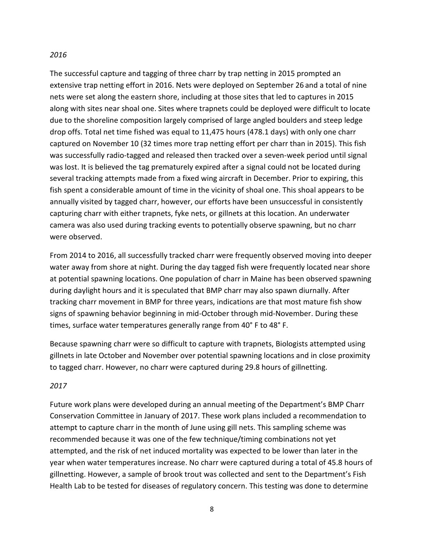#### *2016*

The successful capture and tagging of three charr by trap netting in 2015 prompted an extensive trap netting effort in 2016. Nets were deployed on September 26 and a total of nine nets were set along the eastern shore, including at those sites that led to captures in 2015 along with sites near shoal one. Sites where trapnets could be deployed were difficult to locate due to the shoreline composition largely comprised of large angled boulders and steep ledge drop offs. Total net time fished was equal to 11,475 hours (478.1 days) with only one charr captured on November 10 (32 times more trap netting effort per charr than in 2015). This fish was successfully radio-tagged and released then tracked over a seven-week period until signal was lost. It is believed the tag prematurely expired after a signal could not be located during several tracking attempts made from a fixed wing aircraft in December. Prior to expiring, this fish spent a considerable amount of time in the vicinity of shoal one. This shoal appears to be annually visited by tagged charr, however, our efforts have been unsuccessful in consistently capturing charr with either trapnets, fyke nets, or gillnets at this location. An underwater camera was also used during tracking events to potentially observe spawning, but no charr were observed.

From 2014 to 2016, all successfully tracked charr were frequently observed moving into deeper water away from shore at night. During the day tagged fish were frequently located near shore at potential spawning locations. One population of charr in Maine has been observed spawning during daylight hours and it is speculated that BMP charr may also spawn diurnally. After tracking charr movement in BMP for three years, indications are that most mature fish show signs of spawning behavior beginning in mid-October through mid-November. During these times, surface water temperatures generally range from 40° F to 48° F.

Because spawning charr were so difficult to capture with trapnets, Biologists attempted using gillnets in late October and November over potential spawning locations and in close proximity to tagged charr. However, no charr were captured during 29.8 hours of gillnetting.

#### *2017*

Future work plans were developed during an annual meeting of the Department's BMP Charr Conservation Committee in January of 2017. These work plans included a recommendation to attempt to capture charr in the month of June using gill nets. This sampling scheme was recommended because it was one of the few technique/timing combinations not yet attempted, and the risk of net induced mortality was expected to be lower than later in the year when water temperatures increase. No charr were captured during a total of 45.8 hours of gillnetting. However, a sample of brook trout was collected and sent to the Department's Fish Health Lab to be tested for diseases of regulatory concern. This testing was done to determine

8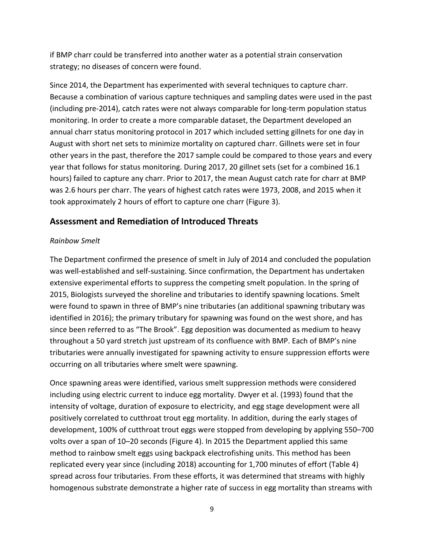if BMP charr could be transferred into another water as a potential strain conservation strategy; no diseases of concern were found.

Since 2014, the Department has experimented with several techniques to capture charr. Because a combination of various capture techniques and sampling dates were used in the past (including pre-2014), catch rates were not always comparable for long-term population status monitoring. In order to create a more comparable dataset, the Department developed an annual charr status monitoring protocol in 2017 which included setting gillnets for one day in August with short net sets to minimize mortality on captured charr. Gillnets were set in four other years in the past, therefore the 2017 sample could be compared to those years and every year that follows for status monitoring. During 2017, 20 gillnet sets (set for a combined 16.1 hours) failed to capture any charr. Prior to 2017, the mean August catch rate for charr at BMP was 2.6 hours per charr. The years of highest catch rates were 1973, 2008, and 2015 when it took approximately 2 hours of effort to capture one charr (Figure 3).

# **Assessment and Remediation of Introduced Threats**

## *Rainbow Smelt*

The Department confirmed the presence of smelt in July of 2014 and concluded the population was well-established and self-sustaining. Since confirmation, the Department has undertaken extensive experimental efforts to suppress the competing smelt population. In the spring of 2015, Biologists surveyed the shoreline and tributaries to identify spawning locations. Smelt were found to spawn in three of BMP's nine tributaries (an additional spawning tributary was identified in 2016); the primary tributary for spawning was found on the west shore, and has since been referred to as "The Brook". Egg deposition was documented as medium to heavy throughout a 50 yard stretch just upstream of its confluence with BMP. Each of BMP's nine tributaries were annually investigated for spawning activity to ensure suppression efforts were occurring on all tributaries where smelt were spawning.

Once spawning areas were identified, various smelt suppression methods were considered including using electric current to induce egg mortality. Dwyer et al. (1993) found that the intensity of voltage, duration of exposure to electricity, and egg stage development were all positively correlated to cutthroat trout egg mortality. In addition, during the early stages of development, 100% of cutthroat trout eggs were stopped from developing by applying 550–700 volts over a span of 10–20 seconds (Figure 4). In 2015 the Department applied this same method to rainbow smelt eggs using backpack electrofishing units. This method has been replicated every year since (including 2018) accounting for 1,700 minutes of effort (Table 4) spread across four tributaries. From these efforts, it was determined that streams with highly homogenous substrate demonstrate a higher rate of success in egg mortality than streams with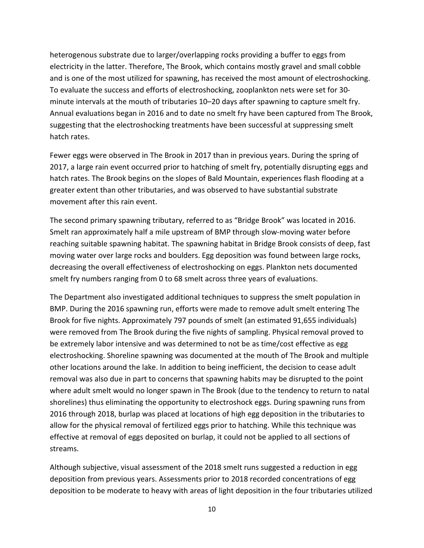heterogenous substrate due to larger/overlapping rocks providing a buffer to eggs from electricity in the latter. Therefore, The Brook, which contains mostly gravel and small cobble and is one of the most utilized for spawning, has received the most amount of electroshocking. To evaluate the success and efforts of electroshocking, zooplankton nets were set for 30 minute intervals at the mouth of tributaries 10–20 days after spawning to capture smelt fry. Annual evaluations began in 2016 and to date no smelt fry have been captured from The Brook, suggesting that the electroshocking treatments have been successful at suppressing smelt hatch rates.

Fewer eggs were observed in The Brook in 2017 than in previous years. During the spring of 2017, a large rain event occurred prior to hatching of smelt fry, potentially disrupting eggs and hatch rates. The Brook begins on the slopes of Bald Mountain, experiences flash flooding at a greater extent than other tributaries, and was observed to have substantial substrate movement after this rain event.

The second primary spawning tributary, referred to as "Bridge Brook" was located in 2016. Smelt ran approximately half a mile upstream of BMP through slow-moving water before reaching suitable spawning habitat. The spawning habitat in Bridge Brook consists of deep, fast moving water over large rocks and boulders. Egg deposition was found between large rocks, decreasing the overall effectiveness of electroshocking on eggs. Plankton nets documented smelt fry numbers ranging from 0 to 68 smelt across three years of evaluations.

The Department also investigated additional techniques to suppress the smelt population in BMP. During the 2016 spawning run, efforts were made to remove adult smelt entering The Brook for five nights. Approximately 797 pounds of smelt (an estimated 91,655 individuals) were removed from The Brook during the five nights of sampling. Physical removal proved to be extremely labor intensive and was determined to not be as time/cost effective as egg electroshocking. Shoreline spawning was documented at the mouth of The Brook and multiple other locations around the lake. In addition to being inefficient, the decision to cease adult removal was also due in part to concerns that spawning habits may be disrupted to the point where adult smelt would no longer spawn in The Brook (due to the tendency to return to natal shorelines) thus eliminating the opportunity to electroshock eggs. During spawning runs from 2016 through 2018, burlap was placed at locations of high egg deposition in the tributaries to allow for the physical removal of fertilized eggs prior to hatching. While this technique was effective at removal of eggs deposited on burlap, it could not be applied to all sections of streams.

Although subjective, visual assessment of the 2018 smelt runs suggested a reduction in egg deposition from previous years. Assessments prior to 2018 recorded concentrations of egg deposition to be moderate to heavy with areas of light deposition in the four tributaries utilized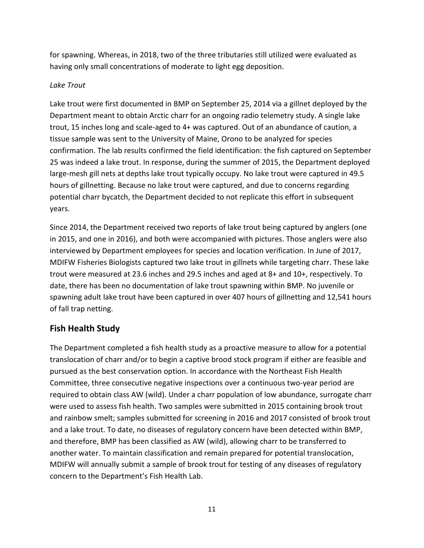for spawning. Whereas, in 2018, two of the three tributaries still utilized were evaluated as having only small concentrations of moderate to light egg deposition.

#### *Lake Trout*

Lake trout were first documented in BMP on September 25, 2014 via a gillnet deployed by the Department meant to obtain Arctic charr for an ongoing radio telemetry study. A single lake trout, 15 inches long and scale-aged to 4+ was captured. Out of an abundance of caution, a tissue sample was sent to the University of Maine, Orono to be analyzed for species confirmation. The lab results confirmed the field identification: the fish captured on September 25 was indeed a lake trout. In response, during the summer of 2015, the Department deployed large-mesh gill nets at depths lake trout typically occupy. No lake trout were captured in 49.5 hours of gillnetting. Because no lake trout were captured, and due to concerns regarding potential charr bycatch, the Department decided to not replicate this effort in subsequent years.

Since 2014, the Department received two reports of lake trout being captured by anglers (one in 2015, and one in 2016), and both were accompanied with pictures. Those anglers were also interviewed by Department employees for species and location verification. In June of 2017, MDIFW Fisheries Biologists captured two lake trout in gillnets while targeting charr. These lake trout were measured at 23.6 inches and 29.5 inches and aged at 8+ and 10+, respectively. To date, there has been no documentation of lake trout spawning within BMP. No juvenile or spawning adult lake trout have been captured in over 407 hours of gillnetting and 12,541 hours of fall trap netting.

# **Fish Health Study**

The Department completed a fish health study as a proactive measure to allow for a potential translocation of charr and/or to begin a captive brood stock program if either are feasible and pursued as the best conservation option. In accordance with the Northeast Fish Health Committee, three consecutive negative inspections over a continuous two-year period are required to obtain class AW (wild). Under a charr population of low abundance, surrogate charr were used to assess fish health. Two samples were submitted in 2015 containing brook trout and rainbow smelt; samples submitted for screening in 2016 and 2017 consisted of brook trout and a lake trout. To date, no diseases of regulatory concern have been detected within BMP, and therefore, BMP has been classified as AW (wild), allowing charr to be transferred to another water. To maintain classification and remain prepared for potential translocation, MDIFW will annually submit a sample of brook trout for testing of any diseases of regulatory concern to the Department's Fish Health Lab.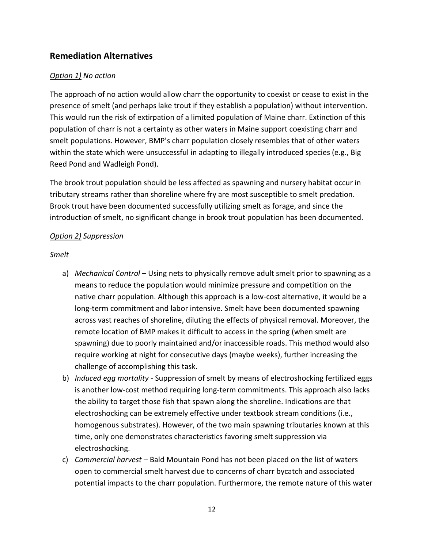# **Remediation Alternatives**

## *Option 1) No action*

The approach of no action would allow charr the opportunity to coexist or cease to exist in the presence of smelt (and perhaps lake trout if they establish a population) without intervention. This would run the risk of extirpation of a limited population of Maine charr. Extinction of this population of charr is not a certainty as other waters in Maine support coexisting charr and smelt populations. However, BMP's charr population closely resembles that of other waters within the state which were unsuccessful in adapting to illegally introduced species (e.g., Big Reed Pond and Wadleigh Pond).

The brook trout population should be less affected as spawning and nursery habitat occur in tributary streams rather than shoreline where fry are most susceptible to smelt predation. Brook trout have been documented successfully utilizing smelt as forage, and since the introduction of smelt, no significant change in brook trout population has been documented.

#### *Option 2) Suppression*

#### *Smelt*

- a) *Mechanical Control* Using nets to physically remove adult smelt prior to spawning as a means to reduce the population would minimize pressure and competition on the native charr population. Although this approach is a low-cost alternative, it would be a long-term commitment and labor intensive. Smelt have been documented spawning across vast reaches of shoreline, diluting the effects of physical removal. Moreover, the remote location of BMP makes it difficult to access in the spring (when smelt are spawning) due to poorly maintained and/or inaccessible roads. This method would also require working at night for consecutive days (maybe weeks), further increasing the challenge of accomplishing this task.
- b) *Induced egg mortality* Suppression of smelt by means of electroshocking fertilized eggs is another low-cost method requiring long-term commitments. This approach also lacks the ability to target those fish that spawn along the shoreline. Indications are that electroshocking can be extremely effective under textbook stream conditions (i.e., homogenous substrates). However, of the two main spawning tributaries known at this time, only one demonstrates characteristics favoring smelt suppression via electroshocking.
- c) *Commercial harvest*  Bald Mountain Pond has not been placed on the list of waters open to commercial smelt harvest due to concerns of charr bycatch and associated potential impacts to the charr population. Furthermore, the remote nature of this water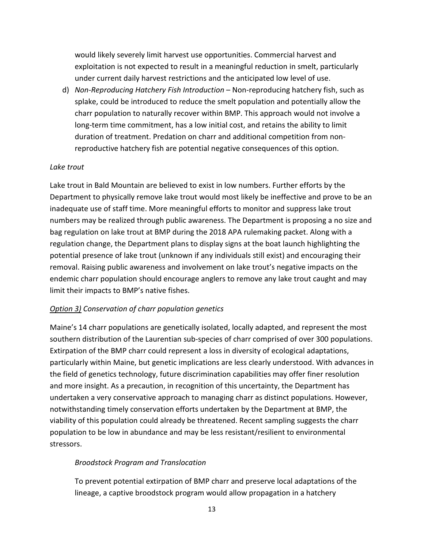would likely severely limit harvest use opportunities. Commercial harvest and exploitation is not expected to result in a meaningful reduction in smelt, particularly under current daily harvest restrictions and the anticipated low level of use.

d) *Non-Reproducing Hatchery Fish Introduction* – Non-reproducing hatchery fish, such as splake, could be introduced to reduce the smelt population and potentially allow the charr population to naturally recover within BMP. This approach would not involve a long-term time commitment, has a low initial cost, and retains the ability to limit duration of treatment. Predation on charr and additional competition from nonreproductive hatchery fish are potential negative consequences of this option.

#### *Lake trout*

Lake trout in Bald Mountain are believed to exist in low numbers. Further efforts by the Department to physically remove lake trout would most likely be ineffective and prove to be an inadequate use of staff time. More meaningful efforts to monitor and suppress lake trout numbers may be realized through public awareness. The Department is proposing a no size and bag regulation on lake trout at BMP during the 2018 APA rulemaking packet. Along with a regulation change, the Department plans to display signs at the boat launch highlighting the potential presence of lake trout (unknown if any individuals still exist) and encouraging their removal. Raising public awareness and involvement on lake trout's negative impacts on the endemic charr population should encourage anglers to remove any lake trout caught and may limit their impacts to BMP's native fishes.

## *Option 3) Conservation of charr population genetics*

Maine's 14 charr populations are genetically isolated, locally adapted, and represent the most southern distribution of the Laurentian sub-species of charr comprised of over 300 populations. Extirpation of the BMP charr could represent a loss in diversity of ecological adaptations, particularly within Maine, but genetic implications are less clearly understood. With advances in the field of genetics technology, future discrimination capabilities may offer finer resolution and more insight. As a precaution, in recognition of this uncertainty, the Department has undertaken a very conservative approach to managing charr as distinct populations. However, notwithstanding timely conservation efforts undertaken by the Department at BMP, the viability of this population could already be threatened. Recent sampling suggests the charr population to be low in abundance and may be less resistant/resilient to environmental stressors.

## *Broodstock Program and Translocation*

To prevent potential extirpation of BMP charr and preserve local adaptations of the lineage, a captive broodstock program would allow propagation in a hatchery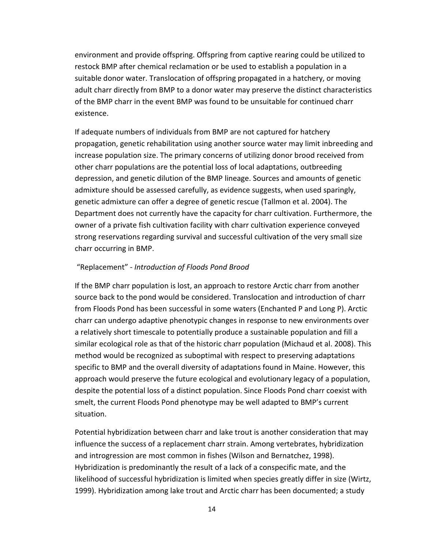environment and provide offspring. Offspring from captive rearing could be utilized to restock BMP after chemical reclamation or be used to establish a population in a suitable donor water. Translocation of offspring propagated in a hatchery, or moving adult charr directly from BMP to a donor water may preserve the distinct characteristics of the BMP charr in the event BMP was found to be unsuitable for continued charr existence.

If adequate numbers of individuals from BMP are not captured for hatchery propagation, genetic rehabilitation using another source water may limit inbreeding and increase population size. The primary concerns of utilizing donor brood received from other charr populations are the potential loss of local adaptations, outbreeding depression, and genetic dilution of the BMP lineage. Sources and amounts of genetic admixture should be assessed carefully, as evidence suggests, when used sparingly, genetic admixture can offer a degree of genetic rescue (Tallmon et al. 2004). The Department does not currently have the capacity for charr cultivation. Furthermore, the owner of a private fish cultivation facility with charr cultivation experience conveyed strong reservations regarding survival and successful cultivation of the very small size charr occurring in BMP.

#### "Replacement" - *Introduction of Floods Pond Brood*

If the BMP charr population is lost, an approach to restore Arctic charr from another source back to the pond would be considered. Translocation and introduction of charr from Floods Pond has been successful in some waters (Enchanted P and Long P). Arctic charr can undergo adaptive phenotypic changes in response to new environments over a relatively short timescale to potentially produce a sustainable population and fill a similar ecological role as that of the historic charr population (Michaud et al. 2008). This method would be recognized as suboptimal with respect to preserving adaptations specific to BMP and the overall diversity of adaptations found in Maine. However, this approach would preserve the future ecological and evolutionary legacy of a population, despite the potential loss of a distinct population. Since Floods Pond charr coexist with smelt, the current Floods Pond phenotype may be well adapted to BMP's current situation.

Potential hybridization between charr and lake trout is another consideration that may influence the success of a replacement charr strain. Among vertebrates, hybridization and introgression are most common in fishes (Wilson and Bernatchez, 1998). Hybridization is predominantly the result of a lack of a conspecific mate, and the likelihood of successful hybridization is limited when species greatly differ in size (Wirtz, 1999). Hybridization among lake trout and Arctic charr has been documented; a study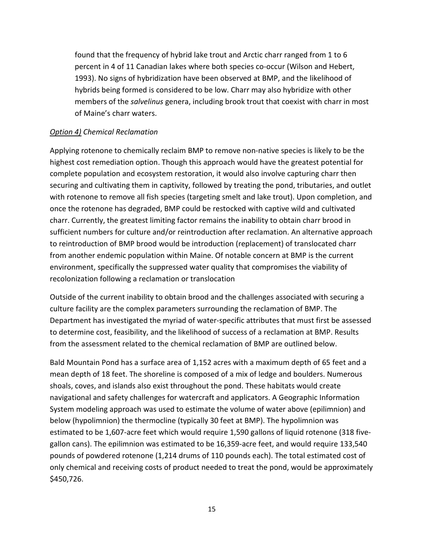found that the frequency of hybrid lake trout and Arctic charr ranged from 1 to 6 percent in 4 of 11 Canadian lakes where both species co-occur (Wilson and Hebert, 1993). No signs of hybridization have been observed at BMP, and the likelihood of hybrids being formed is considered to be low. Charr may also hybridize with other members of the *salvelinus* genera, including brook trout that coexist with charr in most of Maine's charr waters.

#### *Option 4) Chemical Reclamation*

Applying rotenone to chemically reclaim BMP to remove non-native species is likely to be the highest cost remediation option. Though this approach would have the greatest potential for complete population and ecosystem restoration, it would also involve capturing charr then securing and cultivating them in captivity, followed by treating the pond, tributaries, and outlet with rotenone to remove all fish species (targeting smelt and lake trout). Upon completion, and once the rotenone has degraded, BMP could be restocked with captive wild and cultivated charr. Currently, the greatest limiting factor remains the inability to obtain charr brood in sufficient numbers for culture and/or reintroduction after reclamation. An alternative approach to reintroduction of BMP brood would be introduction (replacement) of translocated charr from another endemic population within Maine. Of notable concern at BMP is the current environment, specifically the suppressed water quality that compromises the viability of recolonization following a reclamation or translocation

Outside of the current inability to obtain brood and the challenges associated with securing a culture facility are the complex parameters surrounding the reclamation of BMP. The Department has investigated the myriad of water-specific attributes that must first be assessed to determine cost, feasibility, and the likelihood of success of a reclamation at BMP. Results from the assessment related to the chemical reclamation of BMP are outlined below.

Bald Mountain Pond has a surface area of 1,152 acres with a maximum depth of 65 feet and a mean depth of 18 feet. The shoreline is composed of a mix of ledge and boulders. Numerous shoals, coves, and islands also exist throughout the pond. These habitats would create navigational and safety challenges for watercraft and applicators. A Geographic Information System modeling approach was used to estimate the volume of water above (epilimnion) and below (hypolimnion) the thermocline (typically 30 feet at BMP). The hypolimnion was estimated to be 1,607-acre feet which would require 1,590 gallons of liquid rotenone (318 fivegallon cans). The epilimnion was estimated to be 16,359-acre feet, and would require 133,540 pounds of powdered rotenone (1,214 drums of 110 pounds each). The total estimated cost of only chemical and receiving costs of product needed to treat the pond, would be approximately \$450,726.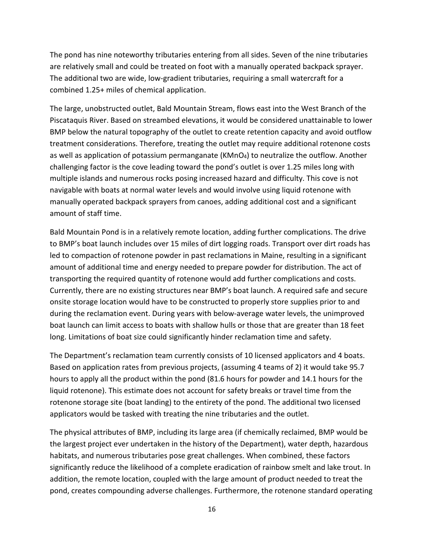The pond has nine noteworthy tributaries entering from all sides. Seven of the nine tributaries are relatively small and could be treated on foot with a manually operated backpack sprayer. The additional two are wide, low-gradient tributaries, requiring a small watercraft for a combined 1.25+ miles of chemical application.

The large, unobstructed outlet, Bald Mountain Stream, flows east into the West Branch of the Piscataquis River. Based on streambed elevations, it would be considered unattainable to lower BMP below the natural topography of the outlet to create retention capacity and avoid outflow treatment considerations. Therefore, treating the outlet may require additional rotenone costs as well as application of potassium permanganate  $(KMnO<sub>4</sub>)$  to neutralize the outflow. Another challenging factor is the cove leading toward the pond's outlet is over 1.25 miles long with multiple islands and numerous rocks posing increased hazard and difficulty. This cove is not navigable with boats at normal water levels and would involve using liquid rotenone with manually operated backpack sprayers from canoes, adding additional cost and a significant amount of staff time.

Bald Mountain Pond is in a relatively remote location, adding further complications. The drive to BMP's boat launch includes over 15 miles of dirt logging roads. Transport over dirt roads has led to compaction of rotenone powder in past reclamations in Maine, resulting in a significant amount of additional time and energy needed to prepare powder for distribution. The act of transporting the required quantity of rotenone would add further complications and costs. Currently, there are no existing structures near BMP's boat launch. A required safe and secure onsite storage location would have to be constructed to properly store supplies prior to and during the reclamation event. During years with below-average water levels, the unimproved boat launch can limit access to boats with shallow hulls or those that are greater than 18 feet long. Limitations of boat size could significantly hinder reclamation time and safety.

The Department's reclamation team currently consists of 10 licensed applicators and 4 boats. Based on application rates from previous projects, (assuming 4 teams of 2) it would take 95.7 hours to apply all the product within the pond (81.6 hours for powder and 14.1 hours for the liquid rotenone). This estimate does not account for safety breaks or travel time from the rotenone storage site (boat landing) to the entirety of the pond. The additional two licensed applicators would be tasked with treating the nine tributaries and the outlet.

The physical attributes of BMP, including its large area (if chemically reclaimed, BMP would be the largest project ever undertaken in the history of the Department), water depth, hazardous habitats, and numerous tributaries pose great challenges. When combined, these factors significantly reduce the likelihood of a complete eradication of rainbow smelt and lake trout. In addition, the remote location, coupled with the large amount of product needed to treat the pond, creates compounding adverse challenges. Furthermore, the rotenone standard operating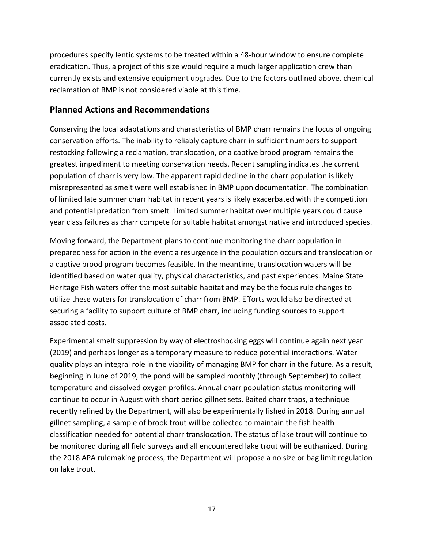procedures specify lentic systems to be treated within a 48-hour window to ensure complete eradication. Thus, a project of this size would require a much larger application crew than currently exists and extensive equipment upgrades. Due to the factors outlined above, chemical reclamation of BMP is not considered viable at this time.

# **Planned Actions and Recommendations**

Conserving the local adaptations and characteristics of BMP charr remains the focus of ongoing conservation efforts. The inability to reliably capture charr in sufficient numbers to support restocking following a reclamation, translocation, or a captive brood program remains the greatest impediment to meeting conservation needs. Recent sampling indicates the current population of charr is very low. The apparent rapid decline in the charr population is likely misrepresented as smelt were well established in BMP upon documentation. The combination of limited late summer charr habitat in recent years is likely exacerbated with the competition and potential predation from smelt. Limited summer habitat over multiple years could cause year class failures as charr compete for suitable habitat amongst native and introduced species.

Moving forward, the Department plans to continue monitoring the charr population in preparedness for action in the event a resurgence in the population occurs and translocation or a captive brood program becomes feasible. In the meantime, translocation waters will be identified based on water quality, physical characteristics, and past experiences. Maine State Heritage Fish waters offer the most suitable habitat and may be the focus rule changes to utilize these waters for translocation of charr from BMP. Efforts would also be directed at securing a facility to support culture of BMP charr, including funding sources to support associated costs.

Experimental smelt suppression by way of electroshocking eggs will continue again next year (2019) and perhaps longer as a temporary measure to reduce potential interactions. Water quality plays an integral role in the viability of managing BMP for charr in the future. As a result, beginning in June of 2019, the pond will be sampled monthly (through September) to collect temperature and dissolved oxygen profiles. Annual charr population status monitoring will continue to occur in August with short period gillnet sets. Baited charr traps, a technique recently refined by the Department, will also be experimentally fished in 2018. During annual gillnet sampling, a sample of brook trout will be collected to maintain the fish health classification needed for potential charr translocation. The status of lake trout will continue to be monitored during all field surveys and all encountered lake trout will be euthanized. During the 2018 APA rulemaking process, the Department will propose a no size or bag limit regulation on lake trout.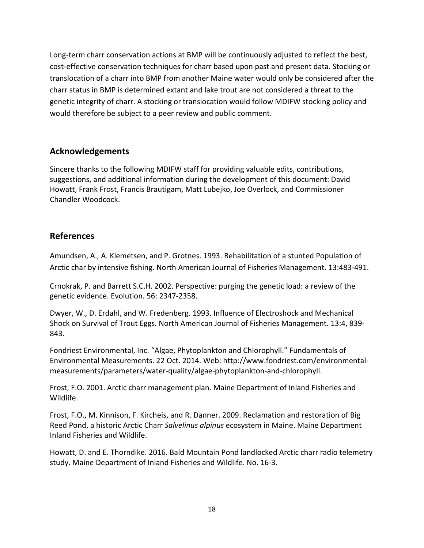Long-term charr conservation actions at BMP will be continuously adjusted to reflect the best, cost-effective conservation techniques for charr based upon past and present data. Stocking or translocation of a charr into BMP from another Maine water would only be considered after the charr status in BMP is determined extant and lake trout are not considered a threat to the genetic integrity of charr. A stocking or translocation would follow MDIFW stocking policy and would therefore be subject to a peer review and public comment.

# **Acknowledgements**

Sincere thanks to the following MDIFW staff for providing valuable edits, contributions, suggestions, and additional information during the development of this document: David Howatt, Frank Frost, Francis Brautigam, Matt Lubejko, Joe Overlock, and Commissioner Chandler Woodcock.

# **References**

Amundsen, A., A. Klemetsen, and P. Grotnes. 1993. Rehabilitation of a stunted Population of Arctic char by intensive fishing. North American Journal of Fisheries Management. 13:483-491.

Crnokrak, P. and Barrett S.C.H. 2002. Perspective: purging the genetic load: a review of the genetic evidence. Evolution. 56: 2347-2358.

Dwyer, W., D. Erdahl, and W. Fredenberg. 1993. Influence of Electroshock and Mechanical Shock on Survival of Trout Eggs. North American Journal of Fisheries Management. 13:4, 839- 843.

Fondriest Environmental, Inc. "Algae, Phytoplankton and Chlorophyll." Fundamentals of Environmental Measurements. 22 Oct. 2014. Web: http://www.fondriest.com/environmentalmeasurements/parameters/water-quality/algae-phytoplankton-and-chlorophyll.

Frost, F.O. 2001. Arctic charr management plan. Maine Department of Inland Fisheries and Wildlife.

Frost, F.O., M. Kinnison, F. Kircheis, and R. Danner. 2009. Reclamation and restoration of Big Reed Pond, a historic Arctic Charr *Salvelinus alpinus* ecosystem in Maine. Maine Department Inland Fisheries and Wildlife.

Howatt, D. and E. Thorndike. 2016. Bald Mountain Pond landlocked Arctic charr radio telemetry study. Maine Department of Inland Fisheries and Wildlife. No. 16-3.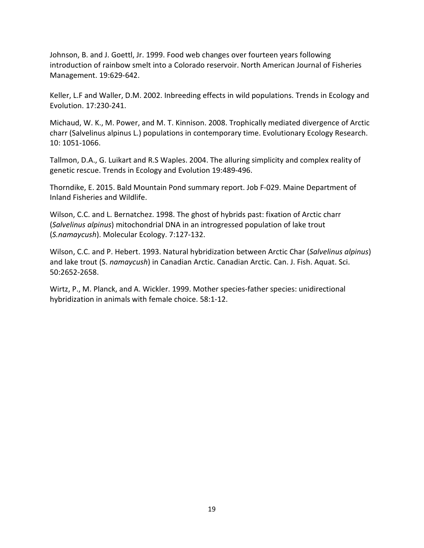Johnson, B. and J. Goettl, Jr. 1999. Food web changes over fourteen years following introduction of rainbow smelt into a Colorado reservoir. North American Journal of Fisheries Management. 19:629-642.

Keller, L.F and Waller, D.M. 2002. Inbreeding effects in wild populations. Trends in Ecology and Evolution. 17:230-241.

Michaud, W. K., M. Power, and M. T. Kinnison. 2008. Trophically mediated divergence of Arctic charr (Salvelinus alpinus L.) populations in contemporary time. Evolutionary Ecology Research. 10: 1051-1066.

Tallmon, D.A., G. Luikart and R.S Waples. 2004. The alluring simplicity and complex reality of genetic rescue. Trends in Ecology and Evolution 19:489-496.

Thorndike, E. 2015. Bald Mountain Pond summary report. Job F-029. Maine Department of Inland Fisheries and Wildlife.

Wilson, C.C. and L. Bernatchez. 1998. The ghost of hybrids past: fixation of Arctic charr (*Salvelinus alpinus*) mitochondrial DNA in an introgressed population of lake trout (*S.namaycush*). Molecular Ecology. 7:127-132.

Wilson, C.C. and P. Hebert. 1993. Natural hybridization between Arctic Char (*Salvelinus alpinus*) and lake trout (S. *namaycush*) in Canadian Arctic. Canadian Arctic. Can. J. Fish. Aquat. Sci. 50:2652-2658.

Wirtz, P., M. Planck, and A. Wickler. 1999. Mother species-father species: unidirectional hybridization in animals with female choice. 58:1-12.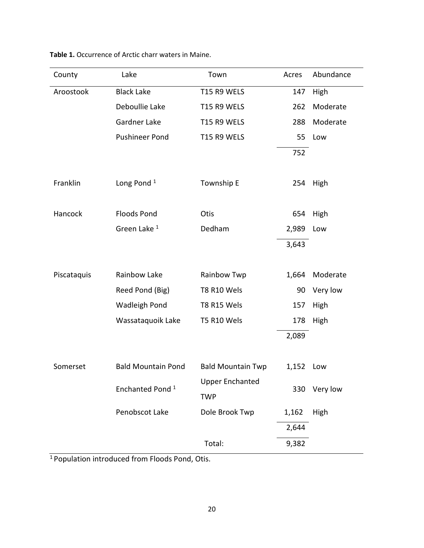| County      | Lake                        | Town                     |       | Abundance   |  |
|-------------|-----------------------------|--------------------------|-------|-------------|--|
| Aroostook   | <b>Black Lake</b>           | T15 R9 WELS              |       | High        |  |
|             | Deboullie Lake              | T15 R9 WELS              | 262   | Moderate    |  |
|             | Gardner Lake                | T15 R9 WELS              | 288   | Moderate    |  |
|             | <b>Pushineer Pond</b>       | T15 R9 WELS              | 55    | Low         |  |
|             |                             |                          | 752   |             |  |
|             |                             |                          |       |             |  |
| Franklin    | Long Pond $1$               | Township E               | 254   | High        |  |
|             |                             |                          |       |             |  |
| Hancock     | <b>Floods Pond</b>          | Otis                     | 654   | High        |  |
|             | Green Lake <sup>1</sup>     | Dedham                   | 2,989 | Low         |  |
|             |                             |                          | 3,643 |             |  |
|             |                             |                          |       |             |  |
| Piscataquis | Rainbow Lake                | Rainbow Twp              | 1,664 | Moderate    |  |
|             | Reed Pond (Big)             | T8 R10 Wels              | 90    | Very low    |  |
|             | <b>Wadleigh Pond</b>        | T8 R15 Wels              | 157   | <b>High</b> |  |
|             | Wassataquoik Lake           | T5 R10 Wels              | 178   | High        |  |
|             |                             |                          | 2,089 |             |  |
|             |                             |                          |       |             |  |
| Somerset    | <b>Bald Mountain Pond</b>   | <b>Bald Mountain Twp</b> | 1,152 | Low         |  |
|             | Enchanted Pond <sup>1</sup> | <b>Upper Enchanted</b>   | 330   | Very low    |  |
|             |                             | <b>TWP</b>               |       |             |  |
|             | Penobscot Lake              | Dole Brook Twp           | 1,162 | High        |  |
|             |                             |                          | 2,644 |             |  |
|             |                             | Total:                   | 9,382 |             |  |

**Table 1.** Occurrence of Arctic charr waters in Maine.

1 Population introduced from Floods Pond, Otis.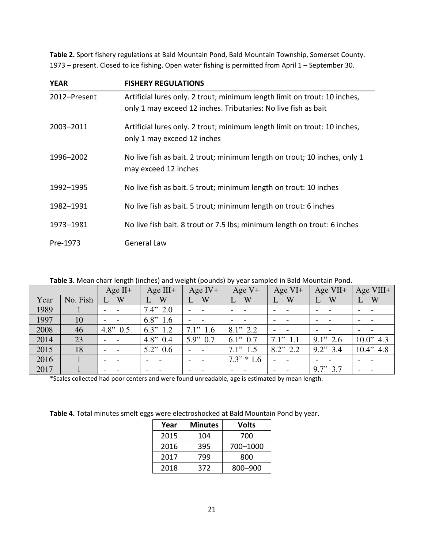**Table 2.** Sport fishery regulations at Bald Mountain Pond, Bald Mountain Township, Somerset County. 1973 – present. Closed to ice fishing. Open water fishing is permitted from April 1 – September 30.

| <b>YEAR</b>  | <b>FISHERY REGULATIONS</b>                                                                                                                  |
|--------------|---------------------------------------------------------------------------------------------------------------------------------------------|
| 2012-Present | Artificial lures only. 2 trout; minimum length limit on trout: 10 inches,<br>only 1 may exceed 12 inches. Tributaries: No live fish as bait |
| 2003-2011    | Artificial lures only. 2 trout; minimum length limit on trout: 10 inches,<br>only 1 may exceed 12 inches                                    |
| 1996-2002    | No live fish as bait. 2 trout; minimum length on trout; 10 inches, only 1<br>may exceed 12 inches                                           |
| 1992-1995    | No live fish as bait. 5 trout; minimum length on trout: 10 inches                                                                           |
| 1982-1991    | No live fish as bait. 5 trout; minimum length on trout: 6 inches                                                                            |
| 1973-1981    | No live fish bait. 8 trout or 7.5 lbs; minimum length on trout: 6 inches                                                                    |
| Pre-1973     | <b>General Law</b>                                                                                                                          |

|  |  |  |  | Table 3. Mean charr length (inches) and weight (pounds) by year sampled in Bald Mountain Pond. |
|--|--|--|--|------------------------------------------------------------------------------------------------|
|--|--|--|--|------------------------------------------------------------------------------------------------|

|      |          | Age $II^+$                         | Age $III+$               | Age $IV+$                | Age $V+$      | Age $VI+$     | Age VII+    | Age VIII+    |
|------|----------|------------------------------------|--------------------------|--------------------------|---------------|---------------|-------------|--------------|
| Year | No. Fish | W                                  | W                        | W                        | W             | W<br>L        | W           | W<br>U       |
| 1989 |          |                                    | 7.4"2.0                  |                          |               |               |             |              |
| 1997 | 10       |                                    | 6.8"1.6                  |                          |               |               |             |              |
| 2008 | 46       | $4.8$ " $0.5$                      | 6.3"<br>1.2              | 7.1"1.6                  | $8.1$ " 2.2   |               |             |              |
| 2014 | 23       | $\overline{\phantom{a}}$           | $4.8"$ 0.4               | $5.9$ " 0.7              | $6.1$ " $0.7$ | $7.1$ " $1.1$ | $9.1$ " 2.6 | 10.0"<br>4.3 |
| 2015 | 18       | $\sim$<br>$\overline{\phantom{a}}$ | 5.2"0.6                  |                          | 7.1"1.5       | $8.2$ " 2.2   | $9.2$ " 3.4 | 10.4"<br>4.8 |
| 2016 |          | $\overline{\phantom{a}}$           | $\overline{\phantom{0}}$ | $\overline{\phantom{0}}$ | $7.3" * 1.6$  |               |             |              |
| 2017 |          |                                    | $\overline{\phantom{0}}$ | $\overline{\phantom{0}}$ |               |               | $9.7$ " 3.7 |              |

\*Scales collected had poor centers and were found unreadable, age is estimated by mean length.

**Table 4.** Total minutes smelt eggs were electroshocked at Bald Mountain Pond by year.

| Year | <b>Minutes</b> | Volts    |  |  |
|------|----------------|----------|--|--|
| 2015 | 104            | 700      |  |  |
| 2016 | 395            | 700-1000 |  |  |
| 2017 | 799            | 800      |  |  |
| 2018 | 372            | 800-900  |  |  |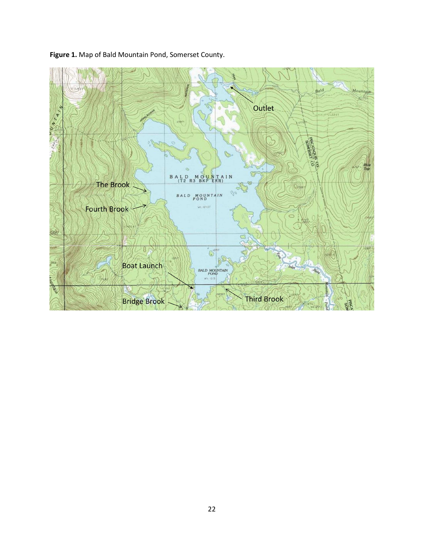

**Figure 1.** Map of Bald Mountain Pond, Somerset County.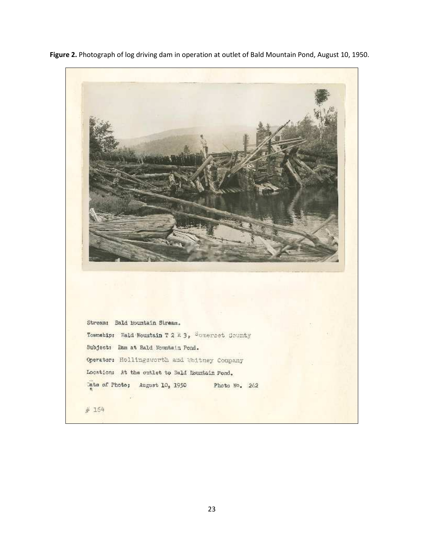

**Figure 2.** Photograph of log driving dam in operation at outlet of Bald Mountain Pond, August 10, 1950.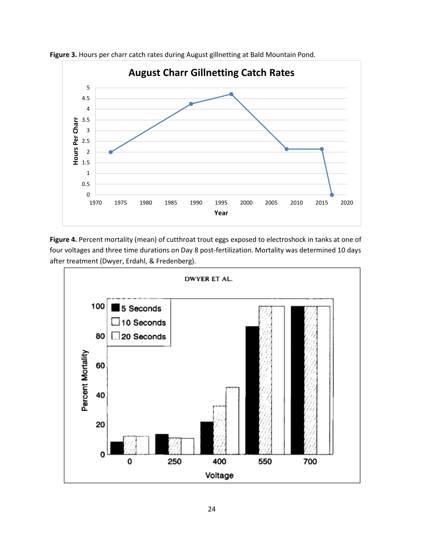

**Figure 3.** Hours per charr catch rates during August gillnetting at Bald Mountain Pond.

**Figure 4.** Percent mortality (mean) of cutthroat trout eggs exposed to electroshock in tanks at one of four voltages and three time durations on Day 8 post-fertilization. Mortality was determined 10 days after treatment (Dwyer, Erdahl, & Fredenberg).